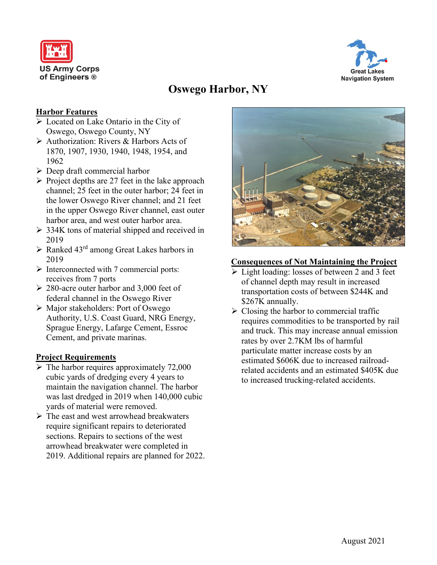



# **Oswego Harbor, NY**

## **Harbor Features**

- Located on Lake Ontario in the City of Oswego, Oswego County, NY
- Authorization: Rivers & Harbors Acts of 1870, 1907, 1930, 1940, 1948, 1954, and 1962
- $\triangleright$  Deep draft commercial harbor
- $\triangleright$  Project depths are 27 feet in the lake approach channel; 25 feet in the outer harbor; 24 feet in the lower Oswego River channel; and 21 feet in the upper Oswego River channel, east outer harbor area, and west outer harbor area.
- $\geq$  334K tons of material shipped and received in 2019
- $\triangleright$  Ranked 43<sup>rd</sup> among Great Lakes harbors in 2019
- $\triangleright$  Interconnected with 7 commercial ports: receives from 7 ports
- $\geq$  280-acre outer harbor and 3,000 feet of federal channel in the Oswego River
- Major stakeholders: Port of Oswego Authority, U.S. Coast Guard, NRG Energy, Sprague Energy, Lafarge Cement, Essroc Cement, and private marinas.

#### **Project Requirements**

- $\triangleright$  The harbor requires approximately 72,000 cubic yards of dredging every 4 years to maintain the navigation channel. The harbor was last dredged in 2019 when 140,000 cubic yards of material were removed.
- $\triangleright$  The east and west arrowhead breakwaters require significant repairs to deteriorated sections. Repairs to sections of the west arrowhead breakwater were completed in 2019. Additional repairs are planned for 2022.



#### **Consequences of Not Maintaining the Project**

- $\triangleright$  Light loading: losses of between 2 and 3 feet of channel depth may result in increased transportation costs of between \$244K and \$267K annually.
- $\triangleright$  Closing the harbor to commercial traffic requires commodities to be transported by rail and truck. This may increase annual emission rates by over 2.7KM lbs of harmful particulate matter increase costs by an estimated \$606K due to increased railroadrelated accidents and an estimated \$405K due to increased trucking-related accidents.